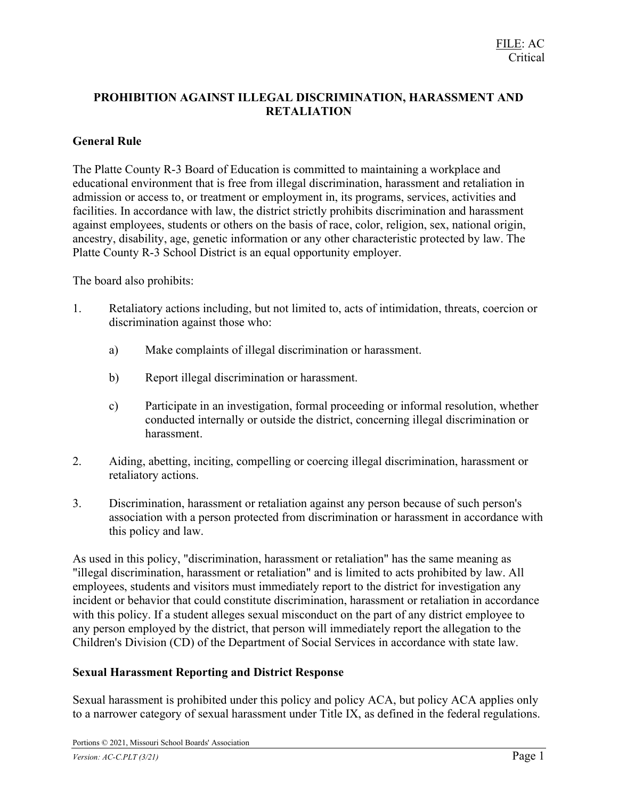## PROHIBITION AGAINST ILLEGAL DISCRIMINATION, HARASSMENT AND RETALIATION

### General Rule

The Platte County R-3 Board of Education is committed to maintaining a workplace and educational environment that is free from illegal discrimination, harassment and retaliation in admission or access to, or treatment or employment in, its programs, services, activities and facilities. In accordance with law, the district strictly prohibits discrimination and harassment against employees, students or others on the basis of race, color, religion, sex, national origin, ancestry, disability, age, genetic information or any other characteristic protected by law. The Platte County R-3 School District is an equal opportunity employer.

The board also prohibits:

- 1. Retaliatory actions including, but not limited to, acts of intimidation, threats, coercion or discrimination against those who:
	- a) Make complaints of illegal discrimination or harassment.
	- b) Report illegal discrimination or harassment.
	- c) Participate in an investigation, formal proceeding or informal resolution, whether conducted internally or outside the district, concerning illegal discrimination or harassment.
- 2. Aiding, abetting, inciting, compelling or coercing illegal discrimination, harassment or retaliatory actions.
- 3. Discrimination, harassment or retaliation against any person because of such person's association with a person protected from discrimination or harassment in accordance with this policy and law.

As used in this policy, "discrimination, harassment or retaliation" has the same meaning as "illegal discrimination, harassment or retaliation" and is limited to acts prohibited by law. All employees, students and visitors must immediately report to the district for investigation any incident or behavior that could constitute discrimination, harassment or retaliation in accordance with this policy. If a student alleges sexual misconduct on the part of any district employee to any person employed by the district, that person will immediately report the allegation to the Children's Division (CD) of the Department of Social Services in accordance with state law.

### Sexual Harassment Reporting and District Response

Sexual harassment is prohibited under this policy and policy ACA, but policy ACA applies only to a narrower category of sexual harassment under Title IX, as defined in the federal regulations.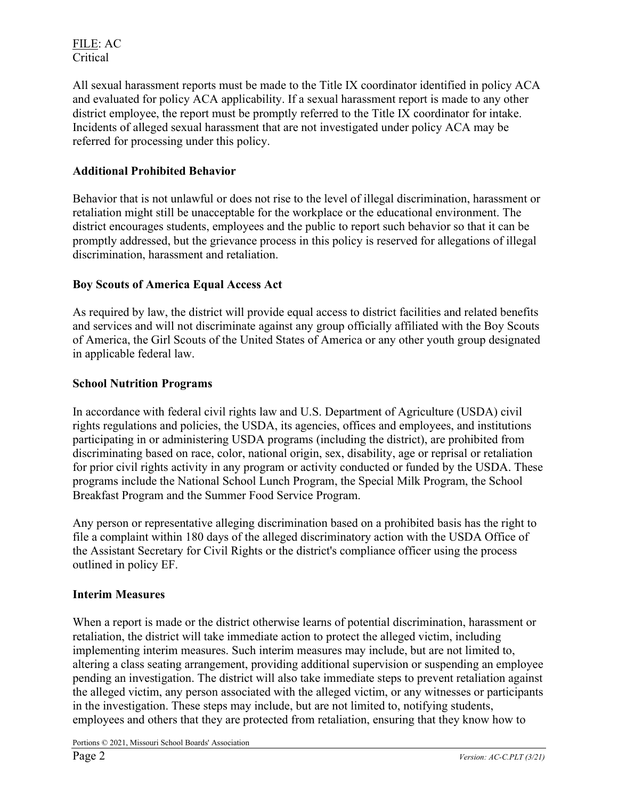FILE: AC Critical

All sexual harassment reports must be made to the Title IX coordinator identified in policy ACA and evaluated for policy ACA applicability. If a sexual harassment report is made to any other district employee, the report must be promptly referred to the Title IX coordinator for intake. Incidents of alleged sexual harassment that are not investigated under policy ACA may be referred for processing under this policy.

### Additional Prohibited Behavior

Behavior that is not unlawful or does not rise to the level of illegal discrimination, harassment or retaliation might still be unacceptable for the workplace or the educational environment. The district encourages students, employees and the public to report such behavior so that it can be promptly addressed, but the grievance process in this policy is reserved for allegations of illegal discrimination, harassment and retaliation.

# Boy Scouts of America Equal Access Act

As required by law, the district will provide equal access to district facilities and related benefits and services and will not discriminate against any group officially affiliated with the Boy Scouts of America, the Girl Scouts of the United States of America or any other youth group designated in applicable federal law.

### School Nutrition Programs

In accordance with federal civil rights law and U.S. Department of Agriculture (USDA) civil rights regulations and policies, the USDA, its agencies, offices and employees, and institutions participating in or administering USDA programs (including the district), are prohibited from discriminating based on race, color, national origin, sex, disability, age or reprisal or retaliation for prior civil rights activity in any program or activity conducted or funded by the USDA. These programs include the National School Lunch Program, the Special Milk Program, the School Breakfast Program and the Summer Food Service Program.

Any person or representative alleging discrimination based on a prohibited basis has the right to file a complaint within 180 days of the alleged discriminatory action with the USDA Office of the Assistant Secretary for Civil Rights or the district's compliance officer using the process outlined in policy EF.

### Interim Measures

When a report is made or the district otherwise learns of potential discrimination, harassment or retaliation, the district will take immediate action to protect the alleged victim, including implementing interim measures. Such interim measures may include, but are not limited to, altering a class seating arrangement, providing additional supervision or suspending an employee pending an investigation. The district will also take immediate steps to prevent retaliation against the alleged victim, any person associated with the alleged victim, or any witnesses or participants in the investigation. These steps may include, but are not limited to, notifying students, employees and others that they are protected from retaliation, ensuring that they know how to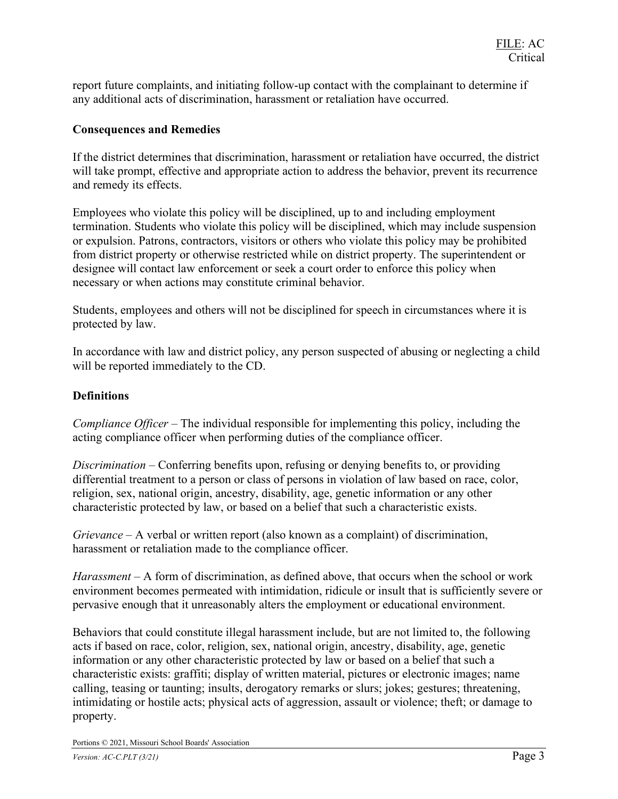report future complaints, and initiating follow-up contact with the complainant to determine if any additional acts of discrimination, harassment or retaliation have occurred.

#### Consequences and Remedies

If the district determines that discrimination, harassment or retaliation have occurred, the district will take prompt, effective and appropriate action to address the behavior, prevent its recurrence and remedy its effects.

Employees who violate this policy will be disciplined, up to and including employment termination. Students who violate this policy will be disciplined, which may include suspension or expulsion. Patrons, contractors, visitors or others who violate this policy may be prohibited from district property or otherwise restricted while on district property. The superintendent or designee will contact law enforcement or seek a court order to enforce this policy when necessary or when actions may constitute criminal behavior.

Students, employees and others will not be disciplined for speech in circumstances where it is protected by law.

In accordance with law and district policy, any person suspected of abusing or neglecting a child will be reported immediately to the CD.

#### **Definitions**

Compliance Officer – The individual responsible for implementing this policy, including the acting compliance officer when performing duties of the compliance officer.

Discrimination – Conferring benefits upon, refusing or denying benefits to, or providing differential treatment to a person or class of persons in violation of law based on race, color, religion, sex, national origin, ancestry, disability, age, genetic information or any other characteristic protected by law, or based on a belief that such a characteristic exists.

Grievance – A verbal or written report (also known as a complaint) of discrimination, harassment or retaliation made to the compliance officer.

Harassment – A form of discrimination, as defined above, that occurs when the school or work environment becomes permeated with intimidation, ridicule or insult that is sufficiently severe or pervasive enough that it unreasonably alters the employment or educational environment.

Behaviors that could constitute illegal harassment include, but are not limited to, the following acts if based on race, color, religion, sex, national origin, ancestry, disability, age, genetic information or any other characteristic protected by law or based on a belief that such a characteristic exists: graffiti; display of written material, pictures or electronic images; name calling, teasing or taunting; insults, derogatory remarks or slurs; jokes; gestures; threatening, intimidating or hostile acts; physical acts of aggression, assault or violence; theft; or damage to property.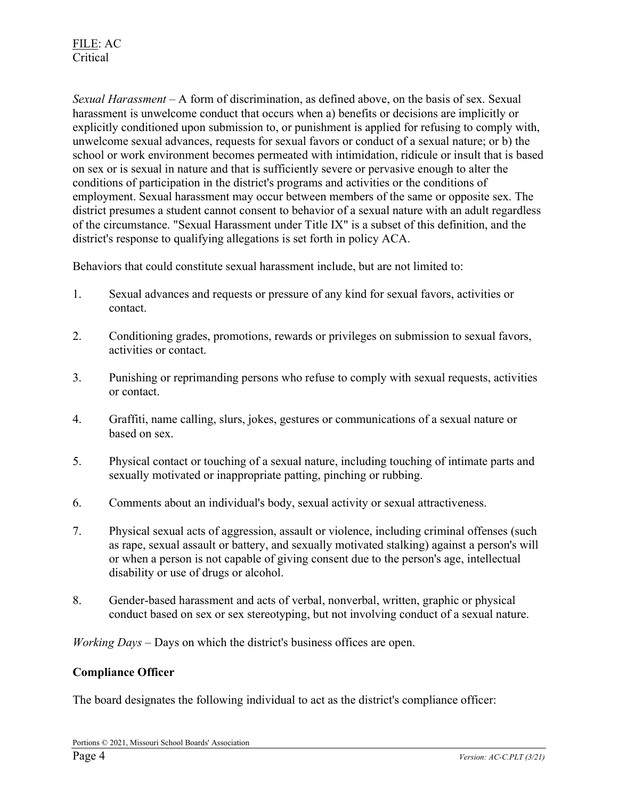Sexual Harassment – A form of discrimination, as defined above, on the basis of sex. Sexual harassment is unwelcome conduct that occurs when a) benefits or decisions are implicitly or explicitly conditioned upon submission to, or punishment is applied for refusing to comply with, unwelcome sexual advances, requests for sexual favors or conduct of a sexual nature; or b) the school or work environment becomes permeated with intimidation, ridicule or insult that is based on sex or is sexual in nature and that is sufficiently severe or pervasive enough to alter the conditions of participation in the district's programs and activities or the conditions of employment. Sexual harassment may occur between members of the same or opposite sex. The district presumes a student cannot consent to behavior of a sexual nature with an adult regardless of the circumstance. "Sexual Harassment under Title IX" is a subset of this definition, and the district's response to qualifying allegations is set forth in policy ACA.

Behaviors that could constitute sexual harassment include, but are not limited to:

- 1. Sexual advances and requests or pressure of any kind for sexual favors, activities or contact.
- 2. Conditioning grades, promotions, rewards or privileges on submission to sexual favors, activities or contact.
- 3. Punishing or reprimanding persons who refuse to comply with sexual requests, activities or contact.
- 4. Graffiti, name calling, slurs, jokes, gestures or communications of a sexual nature or based on sex.
- 5. Physical contact or touching of a sexual nature, including touching of intimate parts and sexually motivated or inappropriate patting, pinching or rubbing.
- 6. Comments about an individual's body, sexual activity or sexual attractiveness.
- 7. Physical sexual acts of aggression, assault or violence, including criminal offenses (such as rape, sexual assault or battery, and sexually motivated stalking) against a person's will or when a person is not capable of giving consent due to the person's age, intellectual disability or use of drugs or alcohol.
- 8. Gender-based harassment and acts of verbal, nonverbal, written, graphic or physical conduct based on sex or sex stereotyping, but not involving conduct of a sexual nature.

*Working Days – Days on which the district's business offices are open.* 

#### Compliance Officer

The board designates the following individual to act as the district's compliance officer: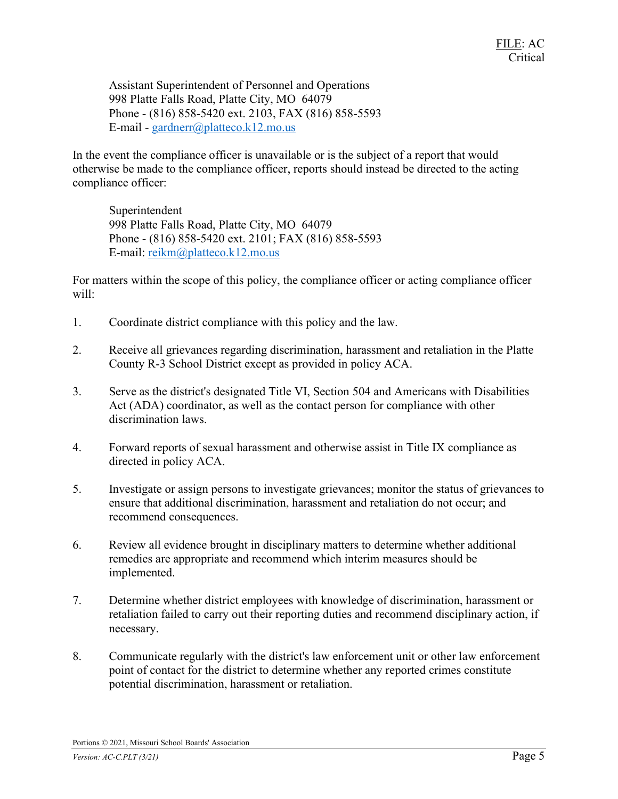Assistant Superintendent of Personnel and Operations 998 Platte Falls Road, Platte City, MO 64079 Phone - (816) 858-5420 ext. 2103, FAX (816) 858-5593 E-mail - gardnerr@platteco.k12.mo.us

In the event the compliance officer is unavailable or is the subject of a report that would otherwise be made to the compliance officer, reports should instead be directed to the acting compliance officer:

Superintendent 998 Platte Falls Road, Platte City, MO 64079 Phone - (816) 858-5420 ext. 2101; FAX (816) 858-5593 E-mail: reikm@platteco.k12.mo.us

For matters within the scope of this policy, the compliance officer or acting compliance officer will:

- 1. Coordinate district compliance with this policy and the law.
- 2. Receive all grievances regarding discrimination, harassment and retaliation in the Platte County R-3 School District except as provided in policy ACA.
- 3. Serve as the district's designated Title VI, Section 504 and Americans with Disabilities Act (ADA) coordinator, as well as the contact person for compliance with other discrimination laws.
- 4. Forward reports of sexual harassment and otherwise assist in Title IX compliance as directed in policy ACA.
- 5. Investigate or assign persons to investigate grievances; monitor the status of grievances to ensure that additional discrimination, harassment and retaliation do not occur; and recommend consequences.
- 6. Review all evidence brought in disciplinary matters to determine whether additional remedies are appropriate and recommend which interim measures should be implemented.
- 7. Determine whether district employees with knowledge of discrimination, harassment or retaliation failed to carry out their reporting duties and recommend disciplinary action, if necessary.
- 8. Communicate regularly with the district's law enforcement unit or other law enforcement point of contact for the district to determine whether any reported crimes constitute potential discrimination, harassment or retaliation.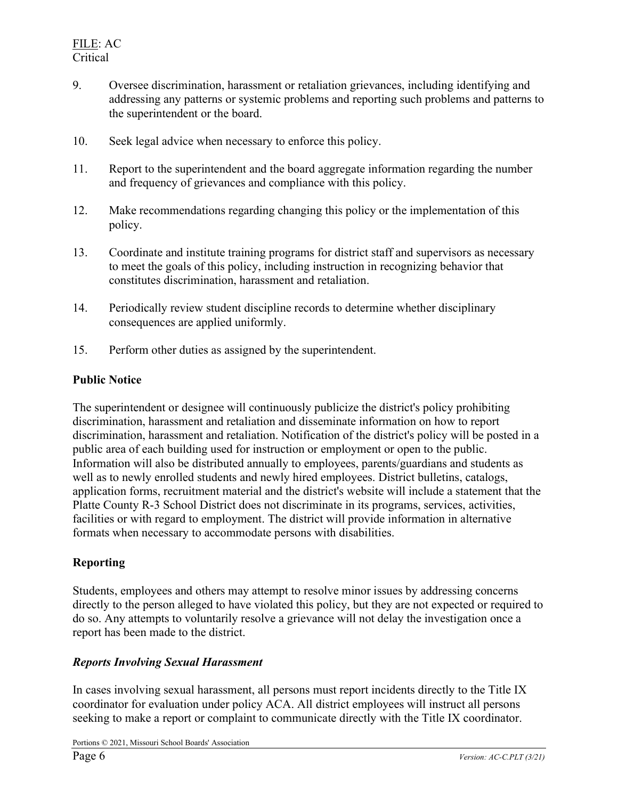- 9. Oversee discrimination, harassment or retaliation grievances, including identifying and addressing any patterns or systemic problems and reporting such problems and patterns to the superintendent or the board.
- 10. Seek legal advice when necessary to enforce this policy.
- 11. Report to the superintendent and the board aggregate information regarding the number and frequency of grievances and compliance with this policy.
- 12. Make recommendations regarding changing this policy or the implementation of this policy.
- 13. Coordinate and institute training programs for district staff and supervisors as necessary to meet the goals of this policy, including instruction in recognizing behavior that constitutes discrimination, harassment and retaliation.
- 14. Periodically review student discipline records to determine whether disciplinary consequences are applied uniformly.
- 15. Perform other duties as assigned by the superintendent.

#### Public Notice

The superintendent or designee will continuously publicize the district's policy prohibiting discrimination, harassment and retaliation and disseminate information on how to report discrimination, harassment and retaliation. Notification of the district's policy will be posted in a public area of each building used for instruction or employment or open to the public. Information will also be distributed annually to employees, parents/guardians and students as well as to newly enrolled students and newly hired employees. District bulletins, catalogs, application forms, recruitment material and the district's website will include a statement that the Platte County R-3 School District does not discriminate in its programs, services, activities, facilities or with regard to employment. The district will provide information in alternative formats when necessary to accommodate persons with disabilities.

### Reporting

Students, employees and others may attempt to resolve minor issues by addressing concerns directly to the person alleged to have violated this policy, but they are not expected or required to do so. Any attempts to voluntarily resolve a grievance will not delay the investigation once a report has been made to the district.

### Reports Involving Sexual Harassment

In cases involving sexual harassment, all persons must report incidents directly to the Title IX coordinator for evaluation under policy ACA. All district employees will instruct all persons seeking to make a report or complaint to communicate directly with the Title IX coordinator.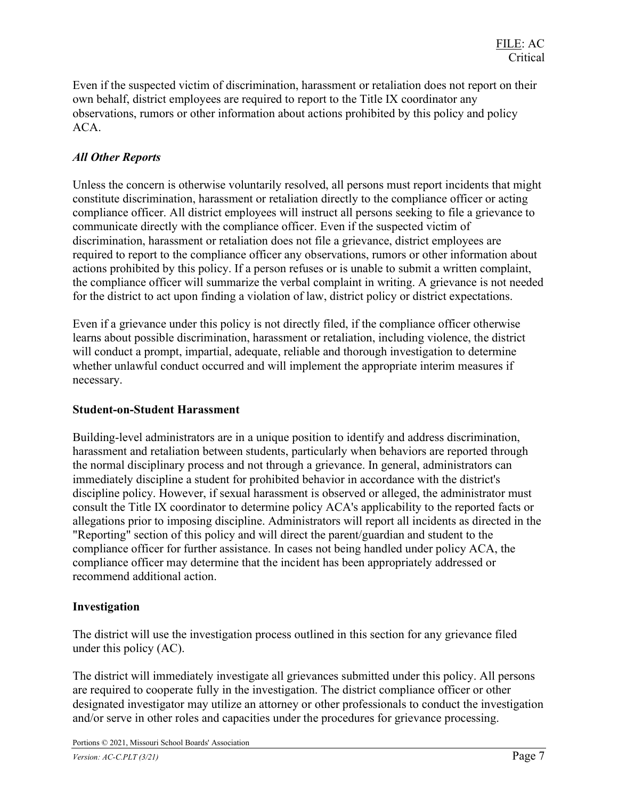Even if the suspected victim of discrimination, harassment or retaliation does not report on their own behalf, district employees are required to report to the Title IX coordinator any observations, rumors or other information about actions prohibited by this policy and policy ACA.

## All Other Reports

Unless the concern is otherwise voluntarily resolved, all persons must report incidents that might constitute discrimination, harassment or retaliation directly to the compliance officer or acting compliance officer. All district employees will instruct all persons seeking to file a grievance to communicate directly with the compliance officer. Even if the suspected victim of discrimination, harassment or retaliation does not file a grievance, district employees are required to report to the compliance officer any observations, rumors or other information about actions prohibited by this policy. If a person refuses or is unable to submit a written complaint, the compliance officer will summarize the verbal complaint in writing. A grievance is not needed for the district to act upon finding a violation of law, district policy or district expectations.

Even if a grievance under this policy is not directly filed, if the compliance officer otherwise learns about possible discrimination, harassment or retaliation, including violence, the district will conduct a prompt, impartial, adequate, reliable and thorough investigation to determine whether unlawful conduct occurred and will implement the appropriate interim measures if necessary.

#### Student-on-Student Harassment

Building-level administrators are in a unique position to identify and address discrimination, harassment and retaliation between students, particularly when behaviors are reported through the normal disciplinary process and not through a grievance. In general, administrators can immediately discipline a student for prohibited behavior in accordance with the district's discipline policy. However, if sexual harassment is observed or alleged, the administrator must consult the Title IX coordinator to determine policy ACA's applicability to the reported facts or allegations prior to imposing discipline. Administrators will report all incidents as directed in the "Reporting" section of this policy and will direct the parent/guardian and student to the compliance officer for further assistance. In cases not being handled under policy ACA, the compliance officer may determine that the incident has been appropriately addressed or recommend additional action.

### Investigation

The district will use the investigation process outlined in this section for any grievance filed under this policy (AC).

The district will immediately investigate all grievances submitted under this policy. All persons are required to cooperate fully in the investigation. The district compliance officer or other designated investigator may utilize an attorney or other professionals to conduct the investigation and/or serve in other roles and capacities under the procedures for grievance processing.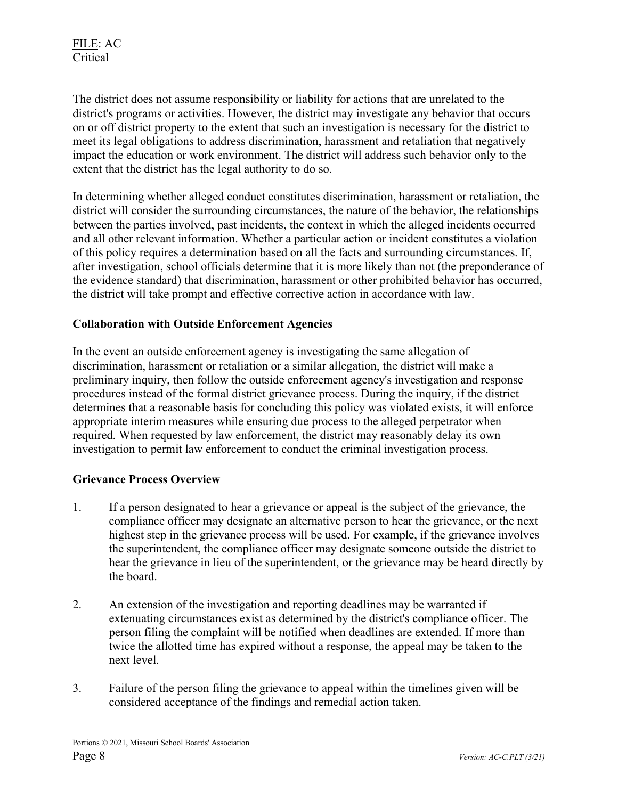The district does not assume responsibility or liability for actions that are unrelated to the district's programs or activities. However, the district may investigate any behavior that occurs on or off district property to the extent that such an investigation is necessary for the district to meet its legal obligations to address discrimination, harassment and retaliation that negatively impact the education or work environment. The district will address such behavior only to the extent that the district has the legal authority to do so.

In determining whether alleged conduct constitutes discrimination, harassment or retaliation, the district will consider the surrounding circumstances, the nature of the behavior, the relationships between the parties involved, past incidents, the context in which the alleged incidents occurred and all other relevant information. Whether a particular action or incident constitutes a violation of this policy requires a determination based on all the facts and surrounding circumstances. If, after investigation, school officials determine that it is more likely than not (the preponderance of the evidence standard) that discrimination, harassment or other prohibited behavior has occurred, the district will take prompt and effective corrective action in accordance with law.

### Collaboration with Outside Enforcement Agencies

In the event an outside enforcement agency is investigating the same allegation of discrimination, harassment or retaliation or a similar allegation, the district will make a preliminary inquiry, then follow the outside enforcement agency's investigation and response procedures instead of the formal district grievance process. During the inquiry, if the district determines that a reasonable basis for concluding this policy was violated exists, it will enforce appropriate interim measures while ensuring due process to the alleged perpetrator when required. When requested by law enforcement, the district may reasonably delay its own investigation to permit law enforcement to conduct the criminal investigation process.

### Grievance Process Overview

- 1. If a person designated to hear a grievance or appeal is the subject of the grievance, the compliance officer may designate an alternative person to hear the grievance, or the next highest step in the grievance process will be used. For example, if the grievance involves the superintendent, the compliance officer may designate someone outside the district to hear the grievance in lieu of the superintendent, or the grievance may be heard directly by the board.
- 2. An extension of the investigation and reporting deadlines may be warranted if extenuating circumstances exist as determined by the district's compliance officer. The person filing the complaint will be notified when deadlines are extended. If more than twice the allotted time has expired without a response, the appeal may be taken to the next level.
- 3. Failure of the person filing the grievance to appeal within the timelines given will be considered acceptance of the findings and remedial action taken.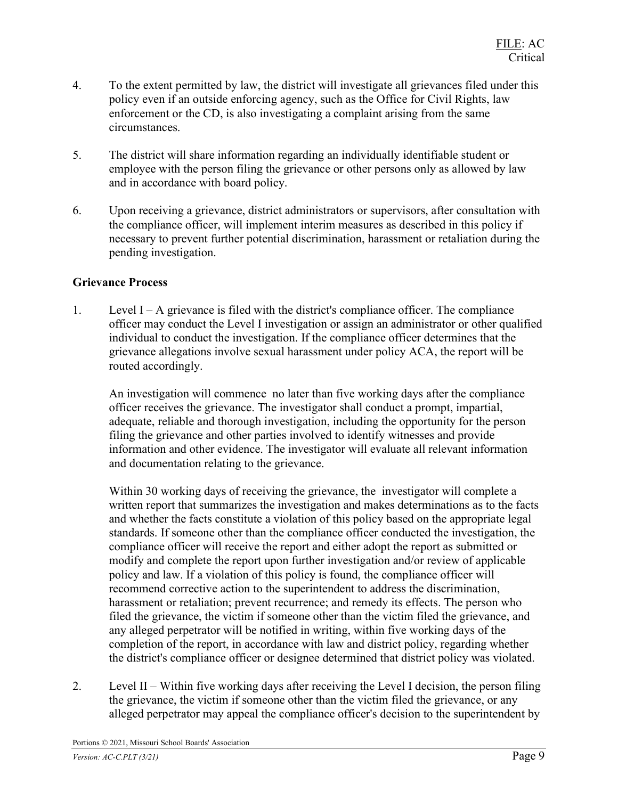- 4. To the extent permitted by law, the district will investigate all grievances filed under this policy even if an outside enforcing agency, such as the Office for Civil Rights, law enforcement or the CD, is also investigating a complaint arising from the same circumstances.
- 5. The district will share information regarding an individually identifiable student or employee with the person filing the grievance or other persons only as allowed by law and in accordance with board policy.
- 6. Upon receiving a grievance, district administrators or supervisors, after consultation with the compliance officer, will implement interim measures as described in this policy if necessary to prevent further potential discrimination, harassment or retaliation during the pending investigation.

### Grievance Process

1. Level I – A grievance is filed with the district's compliance officer. The compliance officer may conduct the Level I investigation or assign an administrator or other qualified individual to conduct the investigation. If the compliance officer determines that the grievance allegations involve sexual harassment under policy ACA, the report will be routed accordingly.

An investigation will commence no later than five working days after the compliance officer receives the grievance. The investigator shall conduct a prompt, impartial, adequate, reliable and thorough investigation, including the opportunity for the person filing the grievance and other parties involved to identify witnesses and provide information and other evidence. The investigator will evaluate all relevant information and documentation relating to the grievance.

Within 30 working days of receiving the grievance, the investigator will complete a written report that summarizes the investigation and makes determinations as to the facts and whether the facts constitute a violation of this policy based on the appropriate legal standards. If someone other than the compliance officer conducted the investigation, the compliance officer will receive the report and either adopt the report as submitted or modify and complete the report upon further investigation and/or review of applicable policy and law. If a violation of this policy is found, the compliance officer will recommend corrective action to the superintendent to address the discrimination, harassment or retaliation; prevent recurrence; and remedy its effects. The person who filed the grievance, the victim if someone other than the victim filed the grievance, and any alleged perpetrator will be notified in writing, within five working days of the completion of the report, in accordance with law and district policy, regarding whether the district's compliance officer or designee determined that district policy was violated.

2. Level II – Within five working days after receiving the Level I decision, the person filing the grievance, the victim if someone other than the victim filed the grievance, or any alleged perpetrator may appeal the compliance officer's decision to the superintendent by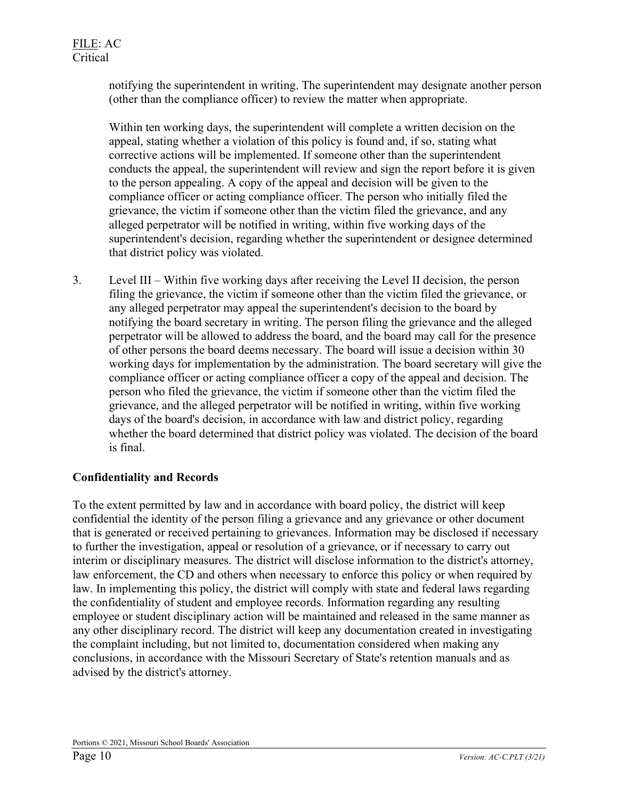notifying the superintendent in writing. The superintendent may designate another person (other than the compliance officer) to review the matter when appropriate.

Within ten working days, the superintendent will complete a written decision on the appeal, stating whether a violation of this policy is found and, if so, stating what corrective actions will be implemented. If someone other than the superintendent conducts the appeal, the superintendent will review and sign the report before it is given to the person appealing. A copy of the appeal and decision will be given to the compliance officer or acting compliance officer. The person who initially filed the grievance, the victim if someone other than the victim filed the grievance, and any alleged perpetrator will be notified in writing, within five working days of the superintendent's decision, regarding whether the superintendent or designee determined that district policy was violated.

3. Level III – Within five working days after receiving the Level II decision, the person filing the grievance, the victim if someone other than the victim filed the grievance, or any alleged perpetrator may appeal the superintendent's decision to the board by notifying the board secretary in writing. The person filing the grievance and the alleged perpetrator will be allowed to address the board, and the board may call for the presence of other persons the board deems necessary. The board will issue a decision within 30 working days for implementation by the administration. The board secretary will give the compliance officer or acting compliance officer a copy of the appeal and decision. The person who filed the grievance, the victim if someone other than the victim filed the grievance, and the alleged perpetrator will be notified in writing, within five working days of the board's decision, in accordance with law and district policy, regarding whether the board determined that district policy was violated. The decision of the board is final.

# Confidentiality and Records

To the extent permitted by law and in accordance with board policy, the district will keep confidential the identity of the person filing a grievance and any grievance or other document that is generated or received pertaining to grievances. Information may be disclosed if necessary to further the investigation, appeal or resolution of a grievance, or if necessary to carry out interim or disciplinary measures. The district will disclose information to the district's attorney, law enforcement, the CD and others when necessary to enforce this policy or when required by law. In implementing this policy, the district will comply with state and federal laws regarding the confidentiality of student and employee records. Information regarding any resulting employee or student disciplinary action will be maintained and released in the same manner as any other disciplinary record. The district will keep any documentation created in investigating the complaint including, but not limited to, documentation considered when making any conclusions, in accordance with the Missouri Secretary of State's retention manuals and as advised by the district's attorney.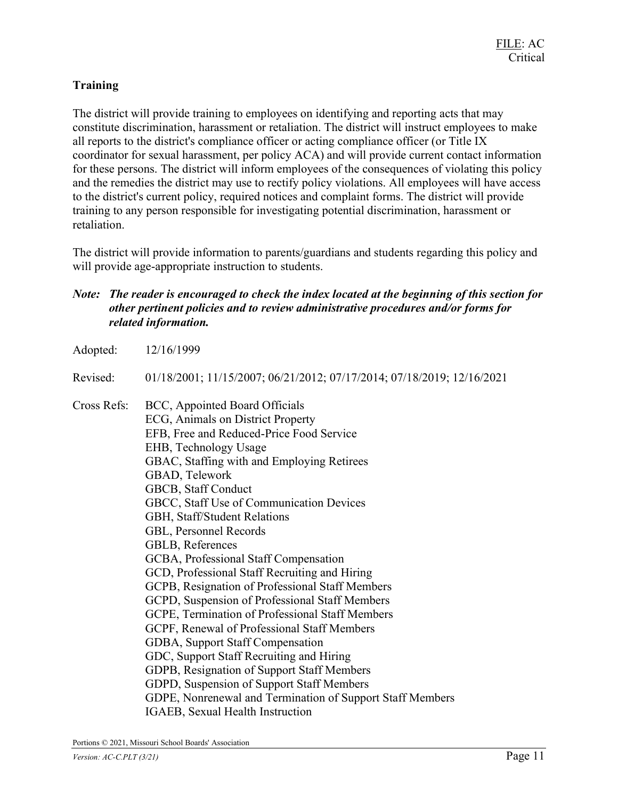## **Training**

The district will provide training to employees on identifying and reporting acts that may constitute discrimination, harassment or retaliation. The district will instruct employees to make all reports to the district's compliance officer or acting compliance officer (or Title IX coordinator for sexual harassment, per policy ACA) and will provide current contact information for these persons. The district will inform employees of the consequences of violating this policy and the remedies the district may use to rectify policy violations. All employees will have access to the district's current policy, required notices and complaint forms. The district will provide training to any person responsible for investigating potential discrimination, harassment or retaliation.

The district will provide information to parents/guardians and students regarding this policy and will provide age-appropriate instruction to students.

### Note: The reader is encouraged to check the index located at the beginning of this section for other pertinent policies and to review administrative procedures and/or forms for related information.

| 12/16/1999                                                             |
|------------------------------------------------------------------------|
| 01/18/2001; 11/15/2007; 06/21/2012; 07/17/2014; 07/18/2019; 12/16/2021 |
| BCC, Appointed Board Officials                                         |
| ECG, Animals on District Property                                      |
| EFB, Free and Reduced-Price Food Service<br>EHB, Technology Usage      |
|                                                                        |
| GBAD, Telework                                                         |
| GBCB, Staff Conduct                                                    |
| GBCC, Staff Use of Communication Devices                               |
| GBH, Staff/Student Relations                                           |
| GBL, Personnel Records                                                 |
| GBLB, References                                                       |
| GCBA, Professional Staff Compensation                                  |
| GCD, Professional Staff Recruiting and Hiring                          |
| GCPB, Resignation of Professional Staff Members                        |
| GCPD, Suspension of Professional Staff Members                         |
| GCPE, Termination of Professional Staff Members                        |
| GCPF, Renewal of Professional Staff Members                            |
| GDBA, Support Staff Compensation                                       |
| GDC, Support Staff Recruiting and Hiring                               |
| GDPB, Resignation of Support Staff Members                             |
| GDPD, Suspension of Support Staff Members                              |
| GDPE, Nonrenewal and Termination of Support Staff Members              |
| IGAEB, Sexual Health Instruction                                       |
|                                                                        |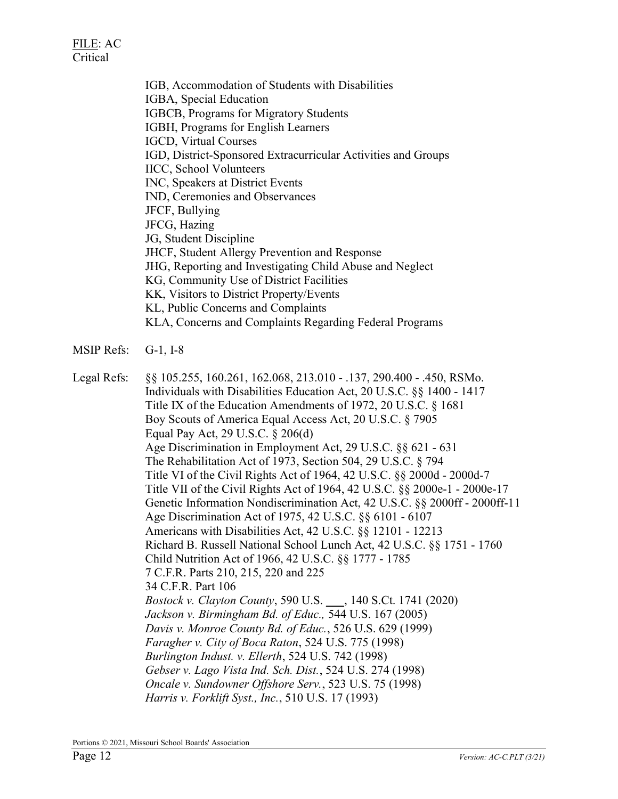IGB, Accommodation of Students with Disabilities IGBA, Special Education IGBCB, Programs for Migratory Students IGBH, Programs for English Learners IGCD, Virtual Courses IGD, District-Sponsored Extracurricular Activities and Groups IICC, School Volunteers INC, Speakers at District Events IND, Ceremonies and Observances JFCF, Bullying JFCG, Hazing JG, Student Discipline JHCF, Student Allergy Prevention and Response JHG, Reporting and Investigating Child Abuse and Neglect KG, Community Use of District Facilities KK, Visitors to District Property/Events KL, Public Concerns and Complaints KLA, Concerns and Complaints Regarding Federal Programs

MSIP Refs: G-1, I-8

Legal Refs: §§ 105.255, 160.261, 162.068, 213.010 - .137, 290.400 - .450, RSMo. Individuals with Disabilities Education Act, 20 U.S.C. §§ 1400 - 1417 Title IX of the Education Amendments of 1972, 20 U.S.C. § 1681 Boy Scouts of America Equal Access Act, 20 U.S.C. § 7905 Equal Pay Act, 29 U.S.C. § 206(d) Age Discrimination in Employment Act, 29 U.S.C. §§ 621 - 631 The Rehabilitation Act of 1973, Section 504, 29 U.S.C. § 794 Title VI of the Civil Rights Act of 1964, 42 U.S.C. §§ 2000d - 2000d-7 Title VII of the Civil Rights Act of 1964, 42 U.S.C. §§ 2000e-1 - 2000e-17 Genetic Information Nondiscrimination Act, 42 U.S.C. §§ 2000ff - 2000ff-11 Age Discrimination Act of 1975, 42 U.S.C. §§ 6101 - 6107 Americans with Disabilities Act, 42 U.S.C. §§ 12101 - 12213 Richard B. Russell National School Lunch Act, 42 U.S.C. §§ 1751 - 1760 Child Nutrition Act of 1966, 42 U.S.C. §§ 1777 - 1785 7 C.F.R. Parts 210, 215, 220 and 225 34 C.F.R. Part 106 Bostock v. Clayton County, 590 U.S. \_\_\_, 140 S.Ct. 1741 (2020) Jackson v. Birmingham Bd. of Educ., 544 U.S. 167 (2005) Davis v. Monroe County Bd. of Educ., 526 U.S. 629 (1999) Faragher v. City of Boca Raton, 524 U.S. 775 (1998) Burlington Indust. v. Ellerth, 524 U.S. 742 (1998) Gebser v. Lago Vista Ind. Sch. Dist., 524 U.S. 274 (1998) Oncale v. Sundowner Offshore Serv., 523 U.S. 75 (1998) Harris v. Forklift Syst., Inc., 510 U.S. 17 (1993)